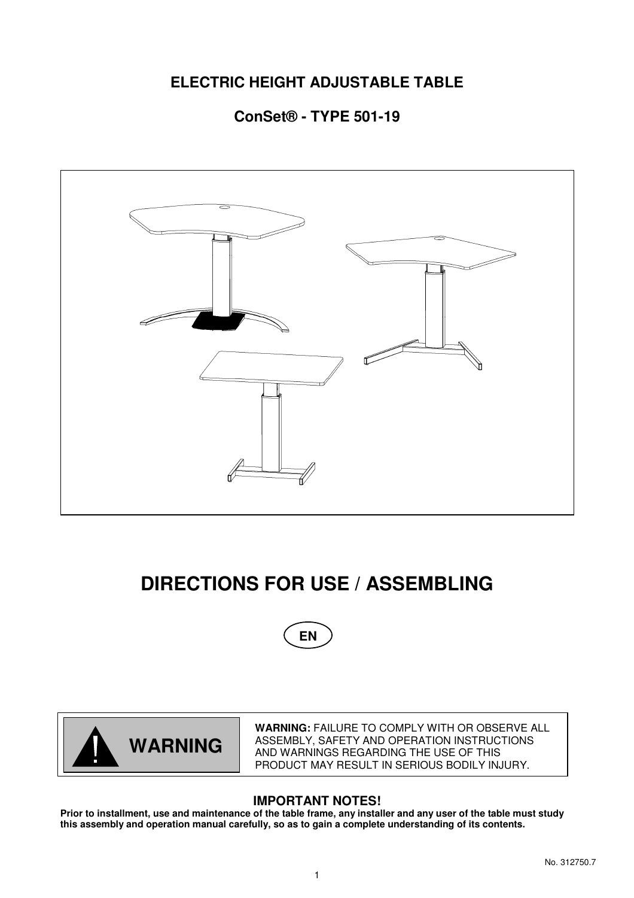## **ELECTRIC HEIGHT ADJUSTABLE TABLE**

## **ConSet® - TYPE 501-19**



# **DIRECTIONS FOR USE / ASSEMBLING**





**WARNING:** FAILURE TO COMPLY WITH OR OBSERVE ALL ASSEMBLY, SAFETY AND OPERATION INSTRUCTIONS AND WARNINGS REGARDING THE USE OF THIS PRODUCT MAY RESULT IN SERIOUS BODILY INJURY.

## **IMPORTANT NOTES!**

**Prior to installment, use and maintenance of the table frame, any installer and any user of the table must study this assembly and operation manual carefully, so as to gain a complete understanding of its contents.**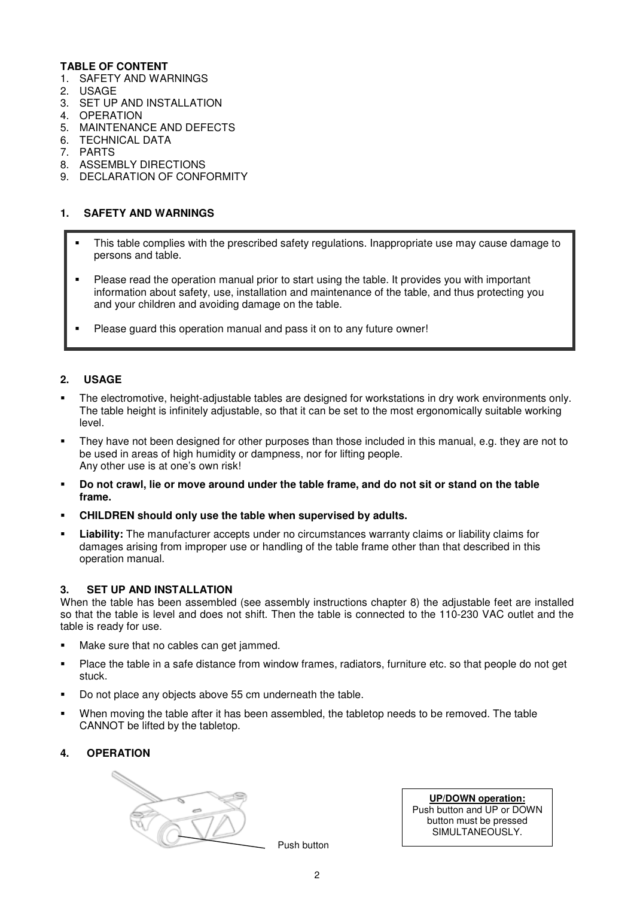#### **TABLE OF CONTENT**

- 1. SAFETY AND WARNINGS
- 2. USAGE
- 3. SET UP AND INSTALLATION
- 4. OPERATION
- 5. MAINTENANCE AND DEFECTS
- 6. TECHNICAL DATA
- 7. PARTS
- 8. ASSEMBLY DIRECTIONS
- 9. DECLARATION OF CONFORMITY

#### **1. SAFETY AND WARNINGS**

- This table complies with the prescribed safety regulations. Inappropriate use may cause damage to persons and table.
- Please read the operation manual prior to start using the table. It provides you with important information about safety, use, installation and maintenance of the table, and thus protecting you and your children and avoiding damage on the table.
- Please guard this operation manual and pass it on to any future owner!

#### **2. USAGE**

- The electromotive, height-adjustable tables are designed for workstations in dry work environments only. The table height is infinitely adjustable, so that it can be set to the most ergonomically suitable working level.
- They have not been designed for other purposes than those included in this manual, e.g. they are not to be used in areas of high humidity or dampness, nor for lifting people. Any other use is at one's own risk!
- **Do not crawl, lie or move around under the table frame, and do not sit or stand on the table frame.**
- **CHILDREN should only use the table when supervised by adults.**
- **Liability:** The manufacturer accepts under no circumstances warranty claims or liability claims for damages arising from improper use or handling of the table frame other than that described in this operation manual.

#### **3. SET UP AND INSTALLATION**

When the table has been assembled (see assembly instructions chapter 8) the adjustable feet are installed so that the table is level and does not shift. Then the table is connected to the 110-230 VAC outlet and the table is ready for use.

- Make sure that no cables can get jammed.
- Place the table in a safe distance from window frames, radiators, furniture etc. so that people do not get stuck.
- Do not place any objects above 55 cm underneath the table.
- When moving the table after it has been assembled, the tabletop needs to be removed. The table CANNOT be lifted by the tabletop.

#### **4. OPERATION**



Push button

**UP/DOWN operation:** Push button and UP or DOWN button must be pressed SIMULTANEOUSLY.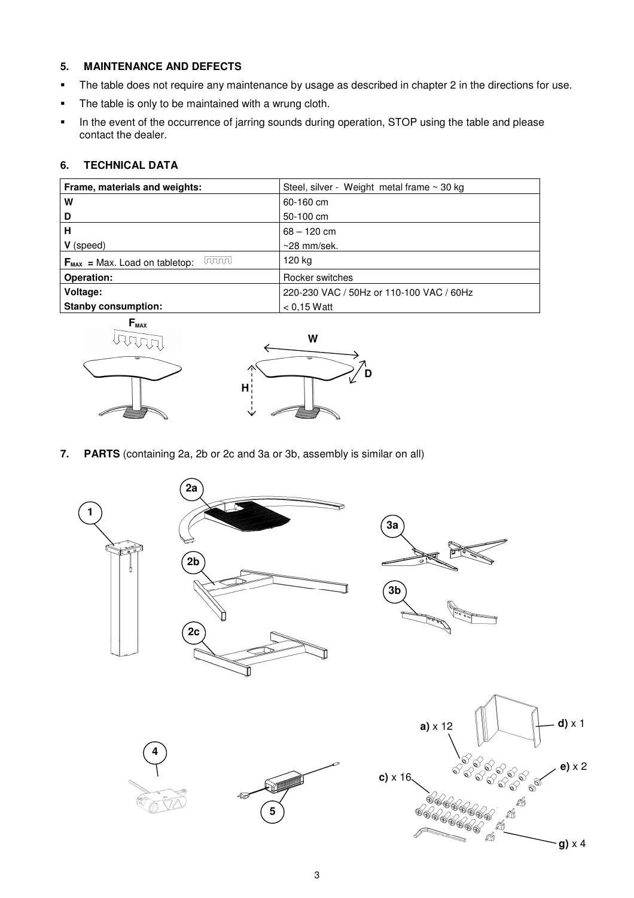#### **5. MAINTENANCE AND DEFECTS**

- The table does not require any maintenance by usage as described in chapter 2 in the directions for use.
- The table is only to be maintained with a wrung cloth.
- In the event of the occurrence of jarring sounds during operation, STOP using the table and please contact the dealer.

### **6. TECHNICAL DATA**

| Frame, materials and weights:                       | Steel, silver - Weight metal frame $\sim$ 30 kg |
|-----------------------------------------------------|-------------------------------------------------|
| W                                                   | 60-160 cm                                       |
| D                                                   | 50-100 cm                                       |
| н                                                   | $68 - 120$ cm                                   |
| V (speed)                                           | $\sim$ 28 mm/sek.                               |
| laaaal<br>$F_{\text{MAX}}$ = Max. Load on tabletop: | 120 kg                                          |
| Operation:                                          | Rocker switches                                 |
| Voltage:                                            | 220-230 VAC / 50Hz or 110-100 VAC / 60Hz        |
| <b>Stanby consumption:</b>                          | $< 0.15$ Watt                                   |





**7. PARTS** (containing 2a, 2b or 2c and 3a or 3b, assembly is similar on all)



**g)** x 4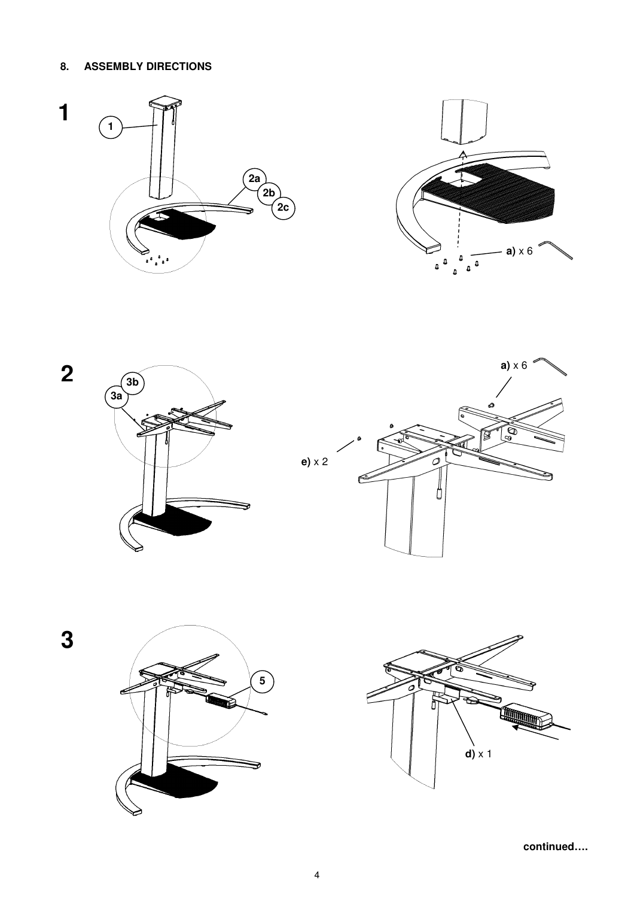#### **ASSEMBLY DIRECTIONS** 8.









3





continued....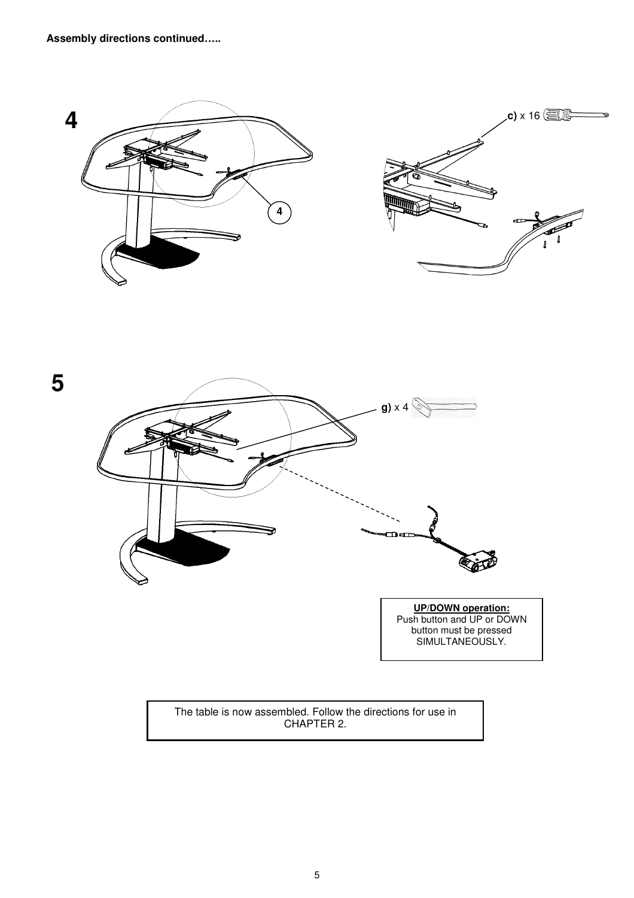



**UP/DOWN operation:** Push button and UP or DOWN button must be pressed SIMULTANEOUSLY.

The table is now assembled. Follow the directions for use in CHAPTER 2.

5